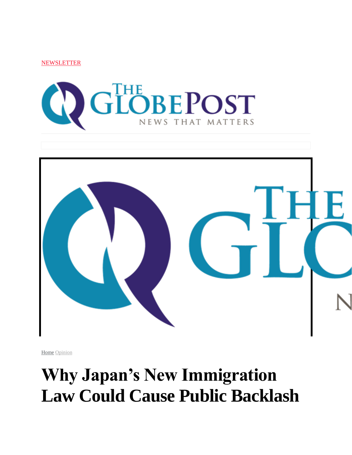**NEWSLETTER** 





[Home](https://theglobepost.com/) [Opinion](https://theglobepost.com/category/opinion/)

## **Why Japan's New Immigration Law Could Cause Public Backlash**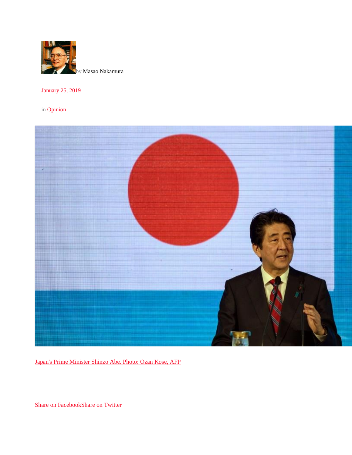

[January 25, 2019](https://theglobepost.com/2019/01/25/japan-foreign-workers/)

in [Opinion](https://theglobepost.com/category/opinion/)



[Japan's Prime Minister Shinzo Abe. Photo: Ozan Kose, AFP](globe_post_in_opinion_25jan2019_published_Why%20Japan’s%20New%20Immigration%20Law%20Could%20Cause%20Public%20Backlash_files/Abe-Japan.jpg)

[Share on FacebookShare on Twitter](http://www.facebook.com/sharer.php?u=https%3A%2F%2Ftheglobepost.com%2F2019%2F01%2F25%2Fjapan-foreign-workers%2F)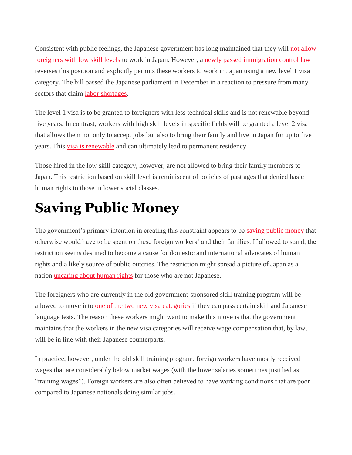Consistent with public feelings, the Japanese government has long maintained that they will [not allow](https://theglobepost.com/2019/01/16/japan-labor-shortage-immigrants/)  [foreigners with low skill levels](https://theglobepost.com/2019/01/16/japan-labor-shortage-immigrants/) to work in Japan. However, a [newly passed immigration control law](https://www.washingtonpost.com/world/japan-passes-controversial-new-immigration-bill-to-attract-foreign-workers/2018/12/07/a76d8420-f9f3-11e8-863a-8972120646e0_story.html?noredirect=on&utm_term=.e913fd6500a7) reverses this position and explicitly permits these workers to work in Japan using a new level 1 visa category. The bill passed the Japanese parliament in December in a reaction to pressure from many sectors that claim [labor shortages.](https://www.theguardian.com/world/2018/nov/09/the-changing-face-of-japan-labour-shortage-opens-doors-to-immigrant-workers)

The level 1 visa is to be granted to foreigners with less technical skills and is not renewable beyond five years. In contrast, workers with high skill levels in specific fields will be granted a level 2 visa that allows them not only to accept jobs but also to bring their family and live in Japan for up to five years. This [visa is renewable](https://www.nytimes.com/2018/12/07/world/asia/japan-parliament-foreign-workers.html) and can ultimately lead to permanent residency.

Those hired in the low skill category, however, are not allowed to bring their family members to Japan. This restriction based on skill level is reminiscent of policies of past ages that denied basic human rights to those in lower social classes.

#### **Saving Public Money**

The government's primary intention in creating this constraint appears to be [saving public money](https://theglobepost.com/2018/08/26/public-benefits-immigrants/) that otherwise would have to be spent on these foreign workers' and their families. If allowed to stand, the restriction seems destined to become a cause for domestic and international advocates of human rights and a likely source of public outcries. The restriction might spread a picture of Japan as a nation [uncaring about human rights](https://theglobepost.com/2018/11/28/un-migrants-human-rights/) for those who are not Japanese.

The foreigners who are currently in the old government-sponsored skill training program will be allowed to move into [one of the two new visa categories](https://www.japantimes.co.jp/opinion/2018/12/04/commentary/japan-commentary/new-immigration-policy-japan/) if they can pass certain skill and Japanese language tests. The reason these workers might want to make this move is that the government maintains that the workers in the new visa categories will receive wage compensation that, by law, will be in line with their Japanese counterparts.

In practice, however, under the old skill training program, foreign workers have mostly received wages that are considerably below market wages (with the lower salaries sometimes justified as "training wages"). Foreign workers are also often believed to have working conditions that are poor compared to Japanese nationals doing similar jobs.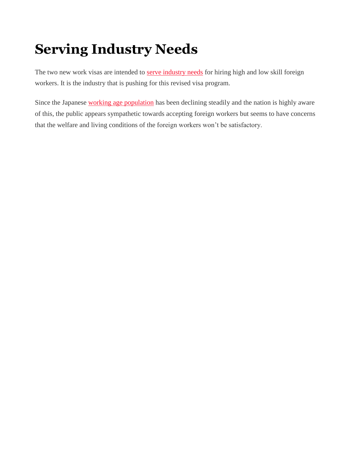## **Serving Industry Needs**

The two new work visas are intended to [serve industry needs](https://theglobepost.com/2018/11/26/japan-labor-shortage/) for hiring high and low skill foreign workers. It is the industry that is pushing for this revised visa program.

Since the Japanese [working age population](https://urldefense.proofpoint.com/v2/url?u=https-3A__fred.stlouisfed.org_series_LFWA64TTJPM647S&d=DwMFaQ&c=clK7kQUTWtAVEOVIgvi0NU5BOUHhpN0H8p7CSfnc_gI&r=4rgF5FDoLdxdWIsEzLNqrg&m=R3fsBe13t2NRIHmhaRGqECA0uJY_wzjx6scnz2Ut1hM&s=nkNeXYqzmHP5Xq10rYn5R36-1VhntTTIKe1cOa0LsyA&e=) has been declining steadily and the nation is highly aware of this, the public appears sympathetic towards accepting foreign workers but seems to have concerns that the welfare and living conditions of the foreign workers won't be satisfactory.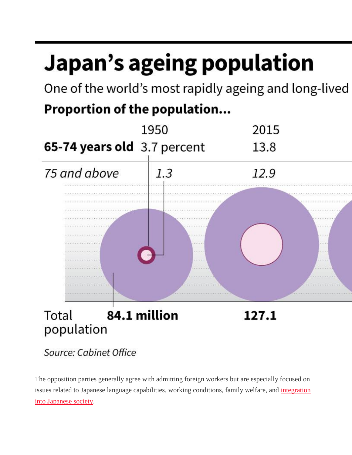# Japan's ageing population

One of the world's most rapidly ageing and long-lived

#### Proportion of the population...



The opposition parties generally agree with admitting foreign workers but are especially focused on issues related to Japanese language capabilities, working conditions, family welfare, and integration [into Japanese society.](https://asia.nikkei.com/Opinion/Why-large-scale-immigration-would-be-bad-for-Japan)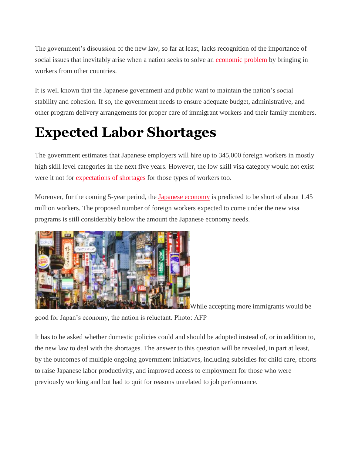The government's discussion of the new law, so far at least, lacks recognition of the importance of social issues that inevitably arise when a nation seeks to solve an [economic problem](https://theglobepost.com/2018/07/16/imf-tariffs-global-growth/) by bringing in workers from other countries.

It is well known that the Japanese government and public want to maintain the nation's social stability and cohesion. If so, the government needs to ensure adequate budget, administrative, and other program delivery arrangements for proper care of immigrant workers and their family members.

### **Expected Labor Shortages**

The government estimates that Japanese employers will hire up to 345,000 foreign workers in mostly high skill level categories in the next five years. However, the low skill visa category would not exist were it not for [expectations of shortages](https://www.npr.org/2018/12/07/674548447/facing-critical-labor-shortage-japan-opens-door-wider-to-foreign-workers) for those types of workers too.

Moreover, for the coming 5-year period, the [Japanese economy](https://www.reuters.com/article/us-japan-economy-gdp/japans-economy-shrinks-most-in-four-years-as-global-risks-hit-business-spending-idUSKBN1O9028) is predicted to be short of about 1.45 million workers. The proposed number of foreign workers expected to come under the new visa programs is still considerably below the amount the Japanese economy needs.



[W](https://theglobepost.com/wp-content/uploads/2019/01/Japan-Tokyo.jpg)hile accepting more immigrants would be

good for Japan's economy, the nation is reluctant. Photo: AFP

It has to be asked whether domestic policies could and should be adopted instead of, or in addition to, the new law to deal with the shortages. The answer to this question will be revealed, in part at least, by the outcomes of multiple ongoing government initiatives, including subsidies for child care, efforts to raise Japanese labor productivity, and improved access to employment for those who were previously working and but had to quit for reasons unrelated to job performance.